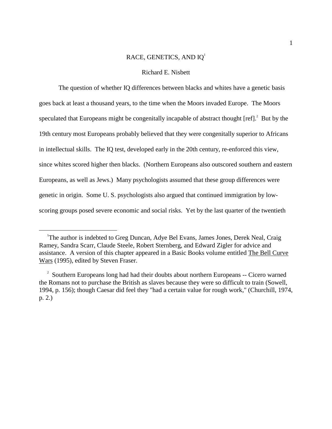# RACE, GENETICS, AND IQ[1](#page-0-0)

# Richard E. Nisbett

The question of whether IQ differences between blacks and whites have a genetic basis goes back at least a thousand years, to the time when the Moors invaded Europe. The Moors speculated that Europeans might be congenitally incapable of abstract thought  $[ref]$ . But by the 19th century most Europeans probably believed that they were congenitally superior to Africans in intellectual skills. The IQ test, developed early in the 20th century, re-enforced this view, since whites scored higher then blacks. (Northern Europeans also outscored southern and eastern Europeans, as well as Jews.) Many psychologists assumed that these group differences were genetic in origin. Some U. S. psychologists also argued that continued immigration by lowscoring groups posed severe economic and social risks. Yet by the last quarter of the twentieth

 $\overline{a}$ 

<span id="page-0-0"></span><sup>&</sup>lt;sup>1</sup>The author is indebted to Greg Duncan, Adye Bel Evans, James Jones, Derek Neal, Craig Ramey, Sandra Scarr, Claude Steele, Robert Sternberg, and Edward Zigler for advice and assistance. A version of this chapter appeared in a Basic Books volume entitled The Bell Curve Wars (1995), edited by Steven Fraser.

<span id="page-0-1"></span><sup>&</sup>lt;sup>2</sup> Southern Europeans long had had their doubts about northern Europeans -- Cicero warned the Romans not to purchase the British as slaves because they were so difficult to train (Sowell, 1994, p. 156); though Caesar did feel they "had a certain value for rough work," (Churchill, 1974, p. 2.)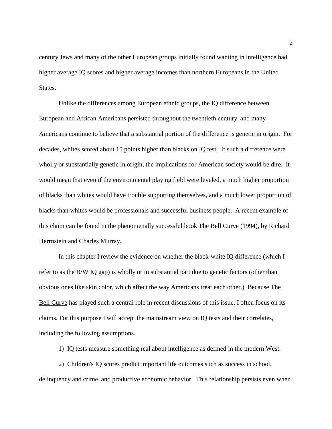century Jews and many of the other European groups initially found wanting in intelligence had higher average IQ scores and higher average incomes than northern Europeans in the United States.

Unlike the differences among European ethnic groups, the IQ difference between European and African Americans persisted throughout the twentieth century, and many Americans continue to believe that a substantial portion of the difference is genetic in origin. For decades, whites scored about 15 points higher than blacks on IQ test. If such a difference were wholly or substantially genetic in origin, the implications for American society would be dire. It would mean that even if the environmental playing field were leveled, a much higher proportion of blacks than whites would have trouble supporting themselves, and a much lower proportion of blacks than whites would be professionals and successful business people. A recent example of this claim can be found in the phenomenally successful book The Bell Curve (1994), by Richard Herrnstein and Charles Murray.

In this chapter I review the evidence on whether the black-white IQ difference (which I refer to as the B/W IQ gap) is wholly or in substantial part due to genetic factors (other than obvious ones like skin color, which affect the way Americans treat each other.) Because The Bell Curve has played such a central role in recent discussions of this issue, I often focus on its claims. For this purpose I will accept the mainstream view on IQ tests and their correlates, including the following assumptions.

1) IQ tests measure something real about intelligence as defined in the modern West.

2) Children's IQ scores predict important life outcomes such as success in school, delinquency and crime, and productive economic behavior. This relationship persists even when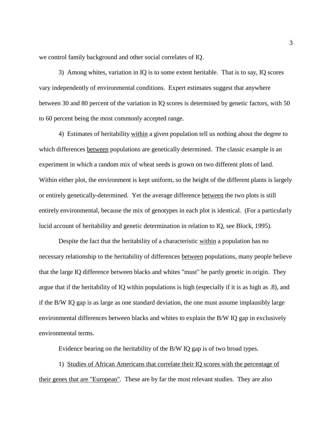we control family background and other social correlates of IQ.

3) Among whites, variation in IQ is to some extent heritable. That is to say, IQ scores vary independently of environmental conditions. Expert estimates suggest that anywhere between 30 and 80 percent of the variation in IQ scores is determined by genetic factors, with 50 to 60 percent being the most commonly accepted range.

4) Estimates of heritability within a given population tell us nothing about the degree to which differences between populations are genetically determined. The classic example is an experiment in which a random mix of wheat seeds is grown on two different plots of land. Within either plot, the environment is kept uniform, so the height of the different plants is largely or entirely genetically-determined. Yet the average difference between the two plots is still entirely environmental, because the mix of genotypes in each plot is identical. (For a particularly lucid account of heritability and genetic determination in relation to IQ, see Block, 1995).

Despite the fact that the heritability of a characteristic within a population has no necessary relationship to the heritability of differences between populations, many people believe that the large IQ difference between blacks and whites "must" be partly genetic in origin. They argue that if the heritability of IQ within populations is high (especially if it is as high as .8), and if the B/W IQ gap is as large as one standard deviation, the one must assume implausibly large environmental differences between blacks and whites to explain the B/W IQ gap in exclusively environmental terms.

Evidence bearing on the heritability of the B/W IQ gap is of two broad types.

1) Studies of African Americans that correlate their IQ scores with the percentage of their genes that are "European". These are by far the most relevant studies. They are also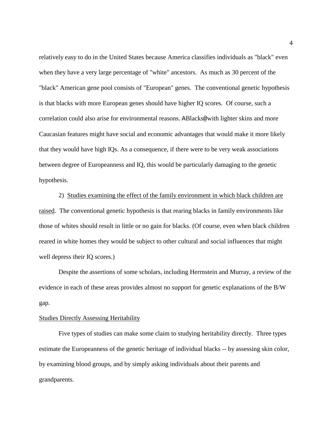relatively easy to do in the United States because America classifies individuals as "black" even when they have a very large percentage of "white" ancestors. As much as 30 percent of the "black" American gene pool consists of "European" genes. The conventional genetic hypothesis is that blacks with more European genes should have higher IQ scores. Of course, such a correlation could also arise for environmental reasons. ABlacks@with lighter skins and more Caucasian features might have social and economic advantages that would make it more likely that they would have high IQs. As a consequence, if there were to be very weak associations between degree of Europeanness and IQ, this would be particularly damaging to the genetic hypothesis.

2) Studies examining the effect of the family environment in which black children are raised. The conventional genetic hypothesis is that rearing blacks in family environments like those of whites should result in little or no gain for blacks. (Of course, even when black children reared in white homes they would be subject to other cultural and social influences that might well depress their IQ scores.)

Despite the assertions of some scholars, including Herrnstein and Murray, a review of the evidence in each of these areas provides almost no support for genetic explanations of the B/W gap.

## Studies Directly Assessing Heritability

Five types of studies can make some claim to studying heritability directly. Three types estimate the Europeanness of the genetic heritage of individual blacks -- by assessing skin color, by examining blood groups, and by simply asking individuals about their parents and grandparents.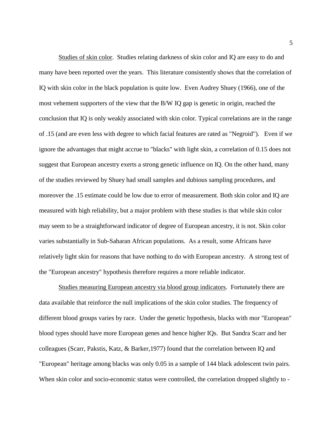Studies of skin color. Studies relating darkness of skin color and IQ are easy to do and many have been reported over the years. This literature consistently shows that the correlation of IQ with skin color in the black population is quite low. Even Audrey Shuey (1966), one of the most vehement supporters of the view that the B/W IQ gap is genetic in origin, reached the conclusion that IQ is only weakly associated with skin color. Typical correlations are in the range of .15 (and are even less with degree to which facial features are rated as "Negroid"). Even if we ignore the advantages that might accrue to "blacks" with light skin, a correlation of 0.15 does not suggest that European ancestry exerts a strong genetic influence on IQ. On the other hand, many of the studies reviewed by Shuey had small samples and dubious sampling procedures, and moreover the .15 estimate could be low due to error of measurement. Both skin color and IQ are measured with high reliability, but a major problem with these studies is that while skin color may seem to be a straightforward indicator of degree of European ancestry, it is not. Skin color varies substantially in Sub-Saharan African populations. As a result, some Africans have relatively light skin for reasons that have nothing to do with European ancestry. A strong test of the "European ancestry" hypothesis therefore requires a more reliable indicator.

Studies measuring European ancestry via blood group indicators. Fortunately there are data available that reinforce the null implications of the skin color studies. The frequency of different blood groups varies by race. Under the genetic hypothesis, blacks with mor "European" blood types should have more European genes and hence higher IQs. But Sandra Scarr and her colleagues (Scarr, Pakstis, Katz, & Barker,1977) found that the correlation between IQ and "European" heritage among blacks was only 0.05 in a sample of 144 black adolescent twin pairs. When skin color and socio-economic status were controlled, the correlation dropped slightly to -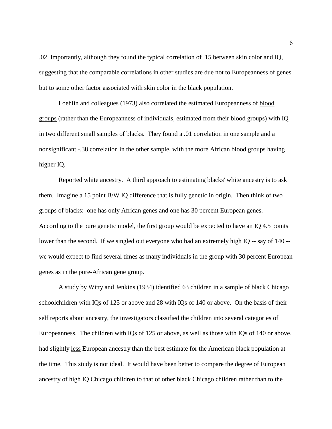.02. Importantly, although they found the typical correlation of .15 between skin color and IQ, suggesting that the comparable correlations in other studies are due not to Europeanness of genes but to some other factor associated with skin color in the black population.

Loehlin and colleagues (1973) also correlated the estimated Europeanness of blood groups (rather than the Europeanness of individuals, estimated from their blood groups) with IQ in two different small samples of blacks. They found a .01 correlation in one sample and a nonsignificant -.38 correlation in the other sample, with the more African blood groups having higher IQ.

Reported white ancestry. A third approach to estimating blacks' white ancestry is to ask them. Imagine a 15 point B/W IQ difference that is fully genetic in origin. Then think of two groups of blacks: one has only African genes and one has 30 percent European genes. According to the pure genetic model, the first group would be expected to have an IQ 4.5 points lower than the second. If we singled out everyone who had an extremely high IQ -- say of 140 - we would expect to find several times as many individuals in the group with 30 percent European genes as in the pure-African gene group.

A study by Witty and Jenkins (1934) identified 63 children in a sample of black Chicago schoolchildren with IQs of 125 or above and 28 with IQs of 140 or above. On the basis of their self reports about ancestry, the investigators classified the children into several categories of Europeanness. The children with IQs of 125 or above, as well as those with IQs of 140 or above, had slightly less European ancestry than the best estimate for the American black population at the time. This study is not ideal. It would have been better to compare the degree of European ancestry of high IQ Chicago children to that of other black Chicago children rather than to the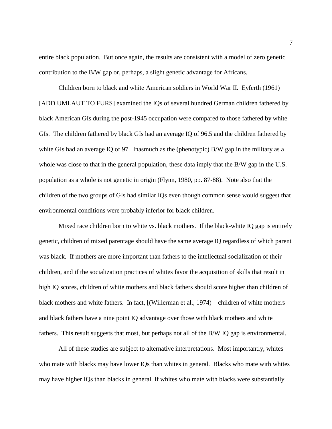entire black population. But once again, the results are consistent with a model of zero genetic contribution to the B/W gap or, perhaps, a slight genetic advantage for Africans.

Children born to black and white American soldiers in World War II. Eyferth (1961) [ADD UMLAUT TO FURS] examined the IQs of several hundred German children fathered by black American GIs during the post-1945 occupation were compared to those fathered by white GIs. The children fathered by black GIs had an average IQ of 96.5 and the children fathered by white GIs had an average IQ of 97. Inasmuch as the (phenotypic) B/W gap in the military as a whole was close to that in the general population, these data imply that the B/W gap in the U.S. population as a whole is not genetic in origin (Flynn, 1980, pp. 87-88). Note also that the children of the two groups of GIs had similar IQs even though common sense would suggest that environmental conditions were probably inferior for black children.

Mixed race children born to white vs. black mothers. If the black-white IQ gap is entirely genetic, children of mixed parentage should have the same average IQ regardless of which parent was black. If mothers are more important than fathers to the intellectual socialization of their children, and if the socialization practices of whites favor the acquisition of skills that result in high IQ scores, children of white mothers and black fathers should score higher than children of black mothers and white fathers. In fact, [(Willerman et al., 1974) children of white mothers and black fathers have a nine point IQ advantage over those with black mothers and white fathers. This result suggests that most, but perhaps not all of the B/W IQ gap is environmental.

All of these studies are subject to alternative interpretations. Most importantly, whites who mate with blacks may have lower IQs than whites in general. Blacks who mate with whites may have higher IQs than blacks in general. If whites who mate with blacks were substantially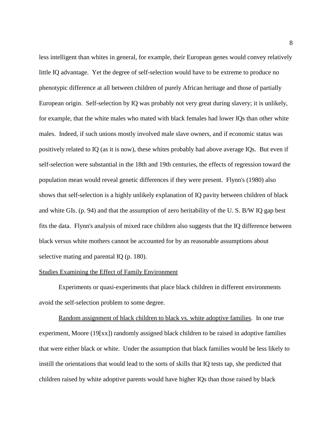less intelligent than whites in general, for example, their European genes would convey relatively little IQ advantage. Yet the degree of self-selection would have to be extreme to produce no phenotypic difference at all between children of purely African heritage and those of partially European origin. Self-selection by IQ was probably not very great during slavery; it is unlikely, for example, that the white males who mated with black females had lower IQs than other white males. Indeed, if such unions mostly involved male slave owners, and if economic status was positively related to IQ (as it is now), these whites probably had above average IQs. But even if self-selection were substantial in the 18th and 19th centuries, the effects of regression toward the population mean would reveal genetic differences if they were present. Flynn's (1980) also shows that self-selection is a highly unlikely explanation of IQ pavity between children of black and white GIs. (p. 94) and that the assumption of zero heritability of the U. S. B/W IQ gap best fits the data. Flynn's analysis of mixed race children also suggests that the IQ difference between black versus white mothers cannot be accounted for by an reasonable assumptions about selective mating and parental IQ (p. 180).

## Studies Examining the Effect of Family Environment

Experiments or quasi-experiments that place black children in different environments avoid the self-selection problem to some degree.

Random assignment of black children to black vs. white adoptive families. In one true experiment, Moore (19[xx]) randomly assigned black children to be raised in adoptive families that were either black or white. Under the assumption that black families would be less likely to instill the orientations that would lead to the sorts of skills that IQ tests tap, she predicted that children raised by white adoptive parents would have higher IQs than those raised by black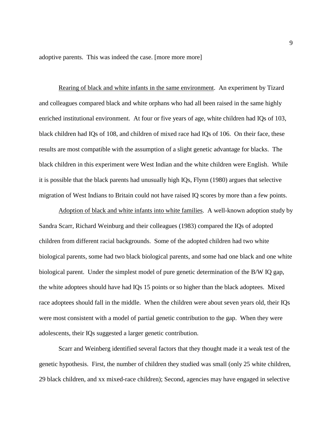adoptive parents. This was indeed the case. [more more more]

Rearing of black and white infants in the same environment. An experiment by Tizard and colleagues compared black and white orphans who had all been raised in the same highly enriched institutional environment. At four or five years of age, white children had IQs of 103, black children had IQs of 108, and children of mixed race had IQs of 106. On their face, these results are most compatible with the assumption of a slight genetic advantage for blacks. The black children in this experiment were West Indian and the white children were English. While it is possible that the black parents had unusually high IQs, Flynn (1980) argues that selective migration of West Indians to Britain could not have raised IQ scores by more than a few points.

Adoption of black and white infants into white families. A well-known adoption study by Sandra Scarr, Richard Weinburg and their colleagues (1983) compared the IQs of adopted children from different racial backgrounds. Some of the adopted children had two white biological parents, some had two black biological parents, and some had one black and one white biological parent. Under the simplest model of pure genetic determination of the B/W IQ gap, the white adoptees should have had IQs 15 points or so higher than the black adoptees. Mixed race adoptees should fall in the middle. When the children were about seven years old, their IQs were most consistent with a model of partial genetic contribution to the gap. When they were adolescents, their IQs suggested a larger genetic contribution.

Scarr and Weinberg identified several factors that they thought made it a weak test of the genetic hypothesis. First, the number of children they studied was small (only 25 white children, 29 black children, and xx mixed-race children); Second, agencies may have engaged in selective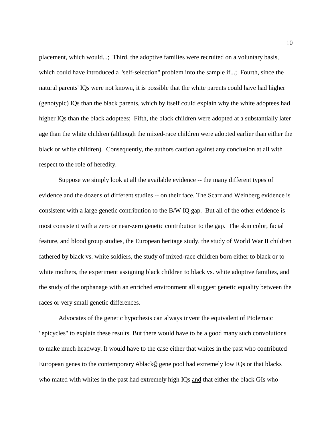placement, which would...; Third, the adoptive families were recruited on a voluntary basis, which could have introduced a "self-selection" problem into the sample if...; Fourth, since the natural parents' IQs were not known, it is possible that the white parents could have had higher (genotypic) IQs than the black parents, which by itself could explain why the white adoptees had higher IQs than the black adoptees; Fifth, the black children were adopted at a substantially later age than the white children (although the mixed-race children were adopted earlier than either the black or white children). Consequently, the authors caution against any conclusion at all with respect to the role of heredity.

Suppose we simply look at all the available evidence -- the many different types of evidence and the dozens of different studies -- on their face. The Scarr and Weinberg evidence is consistent with a large genetic contribution to the B/W IQ gap. But all of the other evidence is most consistent with a zero or near-zero genetic contribution to the gap. The skin color, facial feature, and blood group studies, the European heritage study, the study of World War II children fathered by black vs. white soldiers, the study of mixed-race children born either to black or to white mothers, the experiment assigning black children to black vs. white adoptive families, and the study of the orphanage with an enriched environment all suggest genetic equality between the races or very small genetic differences.

Advocates of the genetic hypothesis can always invent the equivalent of Ptolemaic "epicycles" to explain these results. But there would have to be a good many such convolutions to make much headway. It would have to the case either that whites in the past who contributed European genes to the contemporary Ablack@ gene pool had extremely low IQs or that blacks who mated with whites in the past had extremely high IQs and that either the black GIs who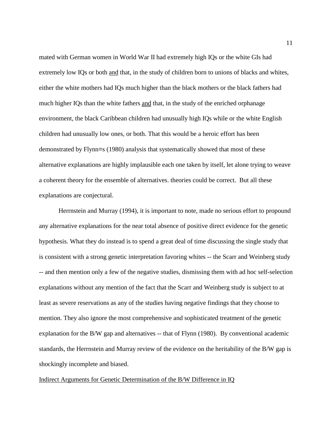mated with German women in World War II had extremely high IQs or the white GIs had extremely low IQs or both and that, in the study of children born to unions of blacks and whites, either the white mothers had IQs much higher than the black mothers or the black fathers had much higher IQs than the white fathers and that, in the study of the enriched orphanage environment, the black Caribbean children had unusually high IQs while or the white English children had unusually low ones, or both. That this would be a heroic effort has been demonstrated by Flynn=s (1980) analysis that systematically showed that most of these alternative explanations are highly implausible each one taken by itself, let alone trying to weave a coherent theory for the ensemble of alternatives. theories could be correct. But all these explanations are conjectural.

Herrnstein and Murray (1994), it is important to note, made no serious effort to propound any alternative explanations for the near total absence of positive direct evidence for the genetic hypothesis. What they do instead is to spend a great deal of time discussing the single study that is consistent with a strong genetic interpretation favoring whites -- the Scarr and Weinberg study -- and then mention only a few of the negative studies, dismissing them with ad hoc self-selection explanations without any mention of the fact that the Scarr and Weinberg study is subject to at least as severe reservations as any of the studies having negative findings that they choose to mention. They also ignore the most comprehensive and sophisticated treatment of the genetic explanation for the B/W gap and alternatives -- that of Flynn (1980). By conventional academic standards, the Herrnstein and Murray review of the evidence on the heritability of the B/W gap is shockingly incomplete and biased.

## Indirect Arguments for Genetic Determination of the B/W Difference in IQ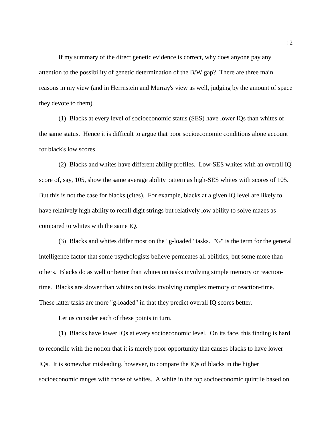If my summary of the direct genetic evidence is correct, why does anyone pay any attention to the possibility of genetic determination of the B/W gap? There are three main reasons in my view (and in Herrnstein and Murray's view as well, judging by the amount of space they devote to them).

(1) Blacks at every level of socioeconomic status (SES) have lower IQs than whites of the same status. Hence it is difficult to argue that poor socioeconomic conditions alone account for black's low scores.

(2) Blacks and whites have different ability profiles. Low-SES whites with an overall IQ score of, say, 105, show the same average ability pattern as high-SES whites with scores of 105. But this is not the case for blacks (cites). For example, blacks at a given IQ level are likely to have relatively high ability to recall digit strings but relatively low ability to solve mazes as compared to whites with the same IQ.

(3) Blacks and whites differ most on the "g-loaded" tasks. "G" is the term for the general intelligence factor that some psychologists believe permeates all abilities, but some more than others. Blacks do as well or better than whites on tasks involving simple memory or reactiontime. Blacks are slower than whites on tasks involving complex memory or reaction-time. These latter tasks are more "g-loaded" in that they predict overall IQ scores better.

Let us consider each of these points in turn.

(1) Blacks have lower IQs at every socioeconomic level. On its face, this finding is hard to reconcile with the notion that it is merely poor opportunity that causes blacks to have lower IQs. It is somewhat misleading, however, to compare the IQs of blacks in the higher socioeconomic ranges with those of whites. A white in the top socioeconomic quintile based on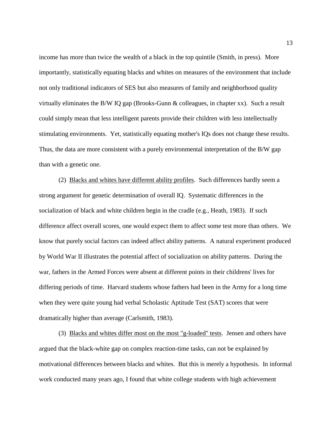income has more than twice the wealth of a black in the top quintile (Smith, in press). More importantly, statistically equating blacks and whites on measures of the environment that include not only traditional indicators of SES but also measures of family and neighborhood quality virtually eliminates the B/W IQ gap (Brooks-Gunn & colleagues, in chapter xx). Such a result could simply mean that less intelligent parents provide their children with less intellectually stimulating environments. Yet, statistically equating mother's IQs does not change these results. Thus, the data are more consistent with a purely environmental interpretation of the B/W gap than with a genetic one.

(2) Blacks and whites have different ability profiles. Such differences hardly seem a strong argument for genetic determination of overall IQ. Systematic differences in the socialization of black and white children begin in the cradle (e.g., Heath, 1983). If such difference affect overall scores, one would expect them to affect some test more than others. We know that purely social factors can indeed affect ability patterns. A natural experiment produced by World War II illustrates the potential affect of socialization on ability patterns. During the war, fathers in the Armed Forces were absent at different points in their childrens' lives for differing periods of time. Harvard students whose fathers had been in the Army for a long time when they were quite young had verbal Scholastic Aptitude Test (SAT) scores that were dramatically higher than average (Carlsmith, 1983).

(3) Blacks and whites differ most on the most "g-loaded" tests. Jensen and others have argued that the black-white gap on complex reaction-time tasks, can not be explained by motivational differences between blacks and whites. But this is merely a hypothesis. In informal work conducted many years ago, I found that white college students with high achievement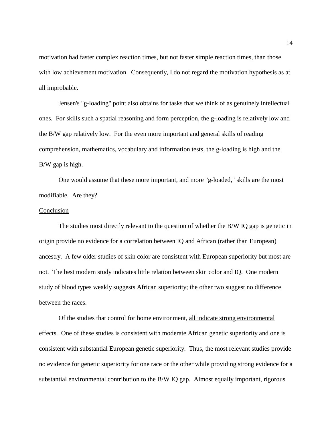motivation had faster complex reaction times, but not faster simple reaction times, than those with low achievement motivation. Consequently, I do not regard the motivation hypothesis as at all improbable.

Jensen's "g-loading" point also obtains for tasks that we think of as genuinely intellectual ones. For skills such a spatial reasoning and form perception, the g-loading is relatively low and the B/W gap relatively low. For the even more important and general skills of reading comprehension, mathematics, vocabulary and information tests, the g-loading is high and the B/W gap is high.

One would assume that these more important, and more "g-loaded," skills are the most modifiable. Are they?

## Conclusion

The studies most directly relevant to the question of whether the B/W IQ gap is genetic in origin provide no evidence for a correlation between IQ and African (rather than European) ancestry. A few older studies of skin color are consistent with European superiority but most are not. The best modern study indicates little relation between skin color and IQ. One modern study of blood types weakly suggests African superiority; the other two suggest no difference between the races.

Of the studies that control for home environment, all indicate strong environmental effects. One of these studies is consistent with moderate African genetic superiority and one is consistent with substantial European genetic superiority. Thus, the most relevant studies provide no evidence for genetic superiority for one race or the other while providing strong evidence for a substantial environmental contribution to the B/W IQ gap. Almost equally important, rigorous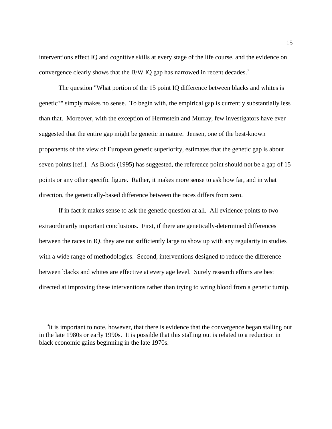interventions effect IQ and cognitive skills at every stage of the life course, and the evidence on convergence clearly shows that the B/W IQ gap has narrowed in recent decades.<sup>[3](#page-14-0)</sup>

The question "What portion of the 15 point IQ difference between blacks and whites is genetic?" simply makes no sense. To begin with, the empirical gap is currently substantially less than that. Moreover, with the exception of Herrnstein and Murray, few investigators have ever suggested that the entire gap might be genetic in nature. Jensen, one of the best-known proponents of the view of European genetic superiority, estimates that the genetic gap is about seven points [ref.]. As Block (1995) has suggested, the reference point should not be a gap of 15 points or any other specific figure. Rather, it makes more sense to ask how far, and in what direction, the genetically-based difference between the races differs from zero.

If in fact it makes sense to ask the genetic question at all. All evidence points to two extraordinarily important conclusions. First, if there are genetically-determined differences between the races in IQ, they are not sufficiently large to show up with any regularity in studies with a wide range of methodologies. Second, interventions designed to reduce the difference between blacks and whites are effective at every age level. Surely research efforts are best directed at improving these interventions rather than trying to wring blood from a genetic turnip.

 $\overline{a}$ 

<span id="page-14-0"></span><sup>&</sup>lt;sup>3</sup>It is important to note, however, that there is evidence that the convergence began stalling out in the late 1980s or early 1990s. It is possible that this stalling out is related to a reduction in black economic gains beginning in the late 1970s.